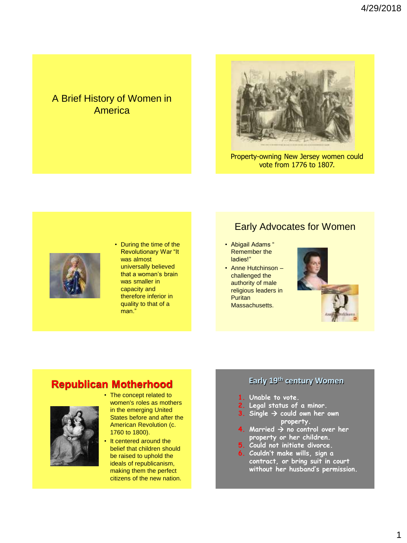## A Brief History of Women in America



Property-owning New Jersey women could vote from 1776 to 1807.



• During the time of the Revolutionary War "It was almost universally believed that a woman's brain was smaller in capacity and therefore inferior in quality to that of a man."

## Early Advocates for Women

- Abigail Adams " Remember the ladies!"
- Anne Hutchinson challenged the authority of male religious leaders in **Puritan** Massachusetts.



# **Republican Motherhood**



• The concept related to women's roles as mothers in the emerging United States before and after the American Revolution (c. 1760 to 1800).

It centered around the belief that children should be raised to uphold the ideals of republicanism, making them the perfect citizens of the new nation.

#### **Early 19th century Women**

- **1. Unable to vote.**
- **2. Legal status of a minor.**
- $Sing$ le  $\rightarrow$  could own her own **property.**
- **4.** Married  $\rightarrow$  no control over her **property or her children.**
- **5. Could not initiate divorce.**
- **6. Couldn't make wills, sign a contract, or bring suit in court without her husband's permission.**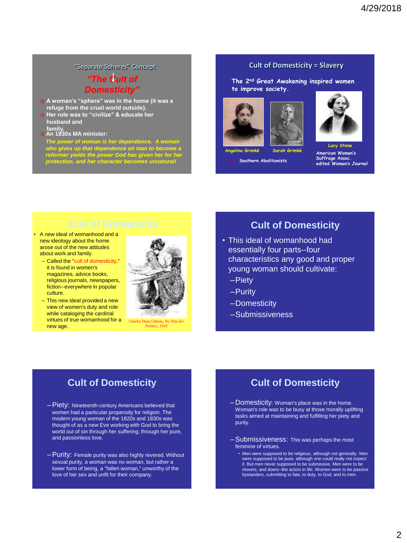#### "Separate Spheres" Concept

#### *"The Cult of Domesticity"*

- **A woman's "sphere" was in the home (it was a refuge from the cruel world outside).**
- **Her role was to "civilize" & educate her husband and**
- **family. An 1830s MA minister:**

*The power of woman is her dependence. A woman who gives up that dependence on man to become a reformer yields the power God has given her for her protection, and her character becomes unnatural!*

#### **Cult of Domesticity = Slavery**

**The 2nd Great Awakening inspired women to improve society.**







**Angelina Grimké Sarah Grimké**

**Southern Abolitionists**

**Lucy Stone American Women's Suffrage Assoc. edited** *Woman's Journal*

- A new ideal of womanhood and a new ideology about the home arose out of the new attitudes about work and family.
	- Called the "cult of domesticity," it is found in women's magazines, advice books, religious journals, newspapers, fiction--everywhere in popular culture.
	- This new ideal provided a new view of women's duty and role while cataloging the cardinal virtues of true womanhood for a new age.



### **Cult of Domesticity**

- This ideal of womanhood had essentially four parts--four characteristics any good and proper young woman should cultivate:
	- –Piety
	- –Purity
	- –Domesticity
	- –Submissiveness

### **Cult of Domesticity**

- –Piety: Nineteenth-century Americans believed that women had a particular propensity for religion. The modern young woman of the 1820s and 1830s was thought of as a new Eve working with God to bring the world out of sin through her suffering, through her pure, and passionless love.
- –Purity: Female purity was also highly revered. Without sexual purity, a woman was no woman, but rather a lower form of being, a "fallen woman," unworthy of the love of her sex and unfit for their company.

### **Cult of Domesticity**

- Domesticity: Woman's place was in the home. Woman's role was to be busy at those morally uplifting tasks aimed at maintaining and fulfilling her piety and purity.
- –Submissiveness: This was perhaps the most feminine of virtues.
	- Men were supposed to be religious, although not generally. Men were supposed to be pure, although one could really not expect it. But men never supposed to be submissive. Men were to be movers, and doers--the actors in life. Women were to be passive bystanders, submitting to fate, to duty, to God, and to men.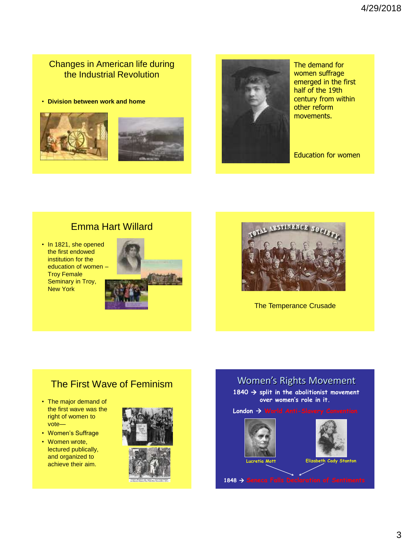## Changes in American life during the Industrial Revolution

• **Division between work and home**







The demand for women suffrage emerged in the first half of the 19th century from within other reform movements.

Education for women

## Emma Hart Willard

• In 1821, she opened the first endowed institution for the education of women – Troy Female Seminary in Troy, New York





The Temperance Crusade

# The First Wave of Feminism

- The major demand of the first wave was the right of women to vote—
- Women's Suffrage
- Women wrote, lectured publically, and organized to achieve their aim.



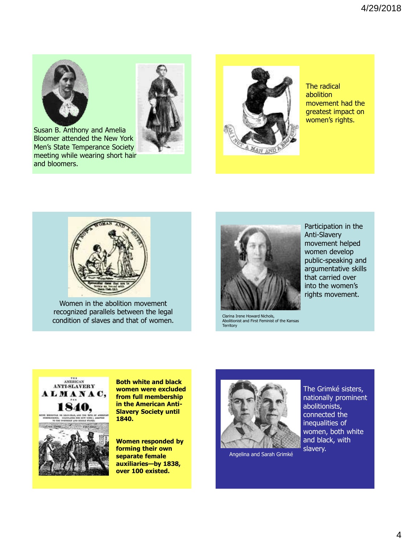



Susan B. Anthony and Amelia Bloomer attended the New York Men's State Temperance Society meeting while wearing short hair and bloomers.



The radical abolition movement had the greatest impact on women's rights.



Women in the abolition movement recognized parallels between the legal condition of slaves and that of women.



Clarina Irene Howard Nichols, Abolitionist and First Feminist of the Kansas **Territory** 



**Both white and black women were excluded from full membership in the American Anti-Slavery Society until 1840.**

**Women responded by forming their own separate female auxiliaries—by 1838, over 100 existed.**



Angelina and Sarah Grimké

The Grimké sisters, nationally prominent abolitionists, connected the inequalities of women, both white and black, with slavery.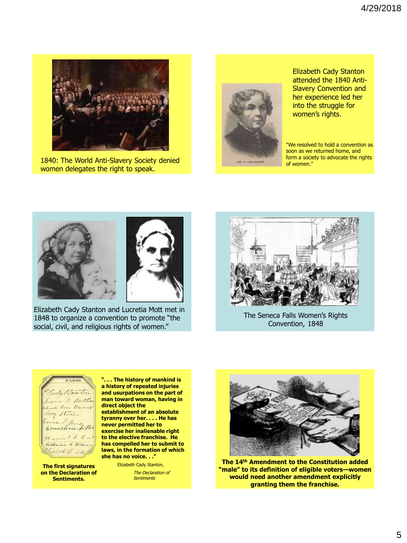

1840: The World Anti-Slavery Society denied women delegates the right to speak.



Elizabeth Cady Stanton attended the 1840 Anti-Slavery Convention and her experience led her into the struggle for women's rights.

"We resolved to hold a convention as soon as we returned home, and form a society to advocate the rights of women."



Elizabeth Cady Stanton and Lucretia Mott met in 1848 to organize a convention to promote "the social, civil, and religious rights of women."



The Seneca Falls Women's Rights Convention, 1848



**The first signatures on the Declaration of Sentiments.**

**". . . The history of mankind is a history of repeated injuries and usurpations on the part of man toward woman, having in direct object the** 

**establishment of an absolute tyranny over her. . . . He has never permitted her to exercise her inalienable right to the elective franchise. He has compelled her to submit to laws, in the formation of which she has no voice. . ."**

> Elizabeth Cady Stanton, The Declaration of **Sentiments**



**The 14th Amendment to the Constitution added "male" to its definition of eligible voters—women would need another amendment explicitly granting them the franchise.**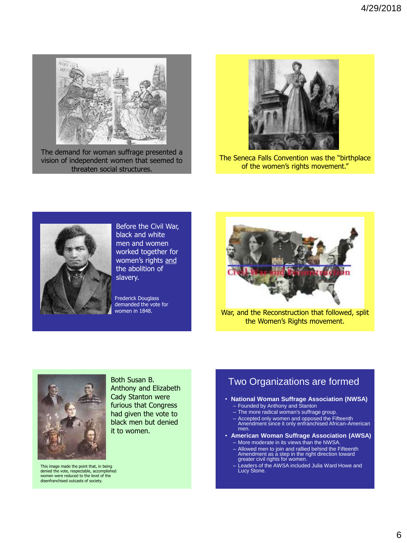

The demand for woman suffrage presented a vision of independent women that seemed to threaten social structures.



The Seneca Falls Convention was the "birthplace of the women's rights movement."



Before the Civil War, black and white men and women worked together for women's rights and the abolition of slavery.

Frederick Douglass demanded the vote for women in 1848.



War, and the Reconstruction that followed, split the Women's Rights movement.



Both Susan B. Anthony and Elizabeth Cady Stanton were furious that Congress had given the vote to black men but denied it to women.

This image made the point that, in being denied the vote, respectable, accomplished women were reduced to the level of the disenfranchised outcasts of society.

## Two Organizations are formed

- **National Woman Suffrage Association (NWSA)** – Founded by Anthony and Stanton
	- The more radical woman's suffrage group.
	-
	- Accepted only women and opposed the Fifteenth Amendment since it only enfranchised African-American men.
- **American Woman Suffrage Association (AWSA)**
	- More moderate in its views than the NWSA.
	- Allowed men to join and rallied behind the Fifteenth Amendment as a step in the right direction toward greater civil rights for women.
	- Leaders of the AWSA included Julia Ward Howe and Lucy Stone.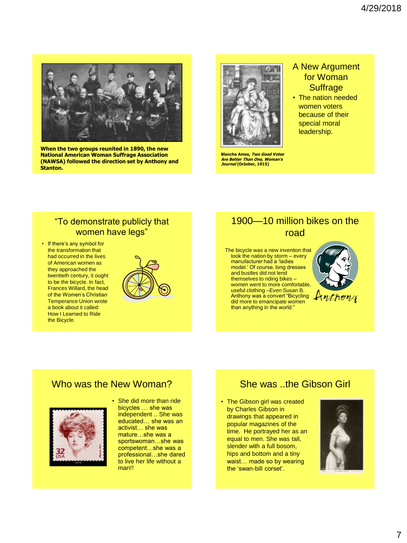

**When the two groups reunited in 1890, the new National American Woman Suffrage Association (NAWSA) followed the direction set by Anthony and Stanton.**



**Blanche Ames, Two Good Votes Are Better Than One, Woman's Journal (October, 1915)**

#### A New Argument for Woman **Suffrage**

• The nation needed women voters because of their special moral leadership.

#### "To demonstrate publicly that women have legs"

• If there's any symbol for the transformation that had occurred in the lives of American women as they approached the twentieth century, it ought to be the bicycle. In fact, Frances Willard, the head of the Women's Christian Temperance Union wrote a book about it called: How I Learned to Ride the Bicycle.



## 1900—10 million bikes on the road

The bicycle was a new invention that took the nation by storm – every manufacturer had a 'ladies model.' Of course, long dresses and bustles did not lend themselves to riding bikes – women went to more comfortable, useful clothing –Even Susan B. Anthony was a convert "Bicycling did more to emancipate women than anything in the world."



#### Who was the New Woman?



• She did more than ride bicycles … she was independent .. She was educated… she was an activist… she was mature…she was a sportswoman…she was competent…she was a professional…she dared to live her life without a man!!

### She was ..the Gibson Girl

• The Gibson girl was created by Charles Gibson in drawings that appeared in popular magazines of the time. He portrayed her as an equal to men. She was tall, slender with a full bosom, hips and bottom and a tiny waist… made so by wearing the 'swan-bill corset'.

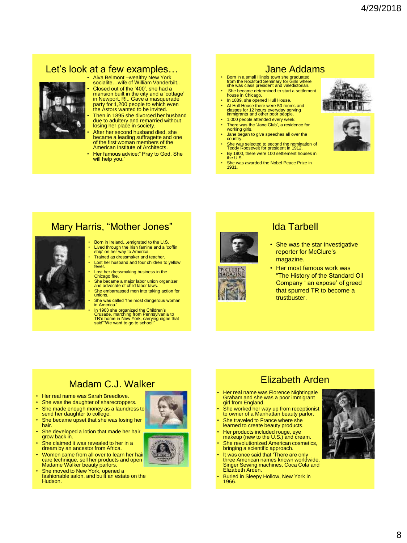# Let's look at a few examples…



• Alva Belmont –wealthy New York socialite…wife of William Vanderbilt..

• Closed out of the '400', she had a mansion built in the city and a 'cottage' in Newport, RI.. Gave a masquerade party for 1,200 people to which even the Astors wanted to be invited.

Then in 1895 she divorced her husband due to adultery and remarried without losing her place in society. After her second husband died, she

became a leading suffragette and one of the first woman members of the American Institute of Architects.

• Her famous advice:" Pray to God. She will help you.

## Jane Addams

- Born in a small Illinois town she graduated from the Rockford Seminary for Girls where she was class president and valedictorian. She became determined to start a settlement house in Chicago.
- In 1889, she opened Hull House.
- At Hull House there were 50 rooms and classes for 12 hours everyday serving immigrants and other poor people.
- 1,000 people attended every week • There was the 'Jane Club', a residence for
- working girls. • Jane began to give speeches all over the
- country. • She was selected to second the nomination of
- Teddy Roosevelt for president in 1912.
- By 1900, there were 100 settlement houses in the U.S. She was awarded the Nobel Peace Prize in 1931.





## Mary Harris, "Mother Jones"



- Born in Ireland...emigrated to the U.S. • Lived through the Irish famine and a 'coffin ship' on her way to America.
- Trained as dressmaker and teacher.
- Lost her husband and four children to yellow fever.
- Lost her dressmaking business in the Chicago fire.
- She became a major labor union organizer and advocate of child labor laws.
- She embarrassed men into taking action for unions.
- She was called 'the most dangerous woman in America.'

• In 1903 she organized the Children's Crusade, marching from Pennsylvania to TR's home in New York, carrying signs that said""We want to go to school!"





#### Ida Tarbell

- She was the star investigative reporter for McClure's magazine.
- Her most famous work was "The History of the Standard Oil Company ' an expose' of greed that spurred TR to become a trustbuster.

# Madam C.J. Walker

- Her real name was Sarah Breedlove.
- She was the daughter of sharecroppers.
- She made enough money as a laundress to send her daughter to college.
- She became upset that she was losing her hair.
- She developed a lotion that made her hair grow back in.
- She claimed it was revealed to her in a dream by an ancestor from Africa.
- Women came from all over to learn her hair care technique, sell her products and open Madame Walker beauty parlors.
- She moved to New York, opened a fashionable salon, and built an estate on the Hudson.





# Elizabeth Arden

- Her real name was Florence Nightingale Graham and she was a poor immigrant girl from England.
- She worked her way up from receptionist to owner of a Manhattan beauty parlor.
- She traveled to France where she learned to create beauty products. • Her products included rouge, eye
- makeup (new to the U.S.) and cream. She revolutionized American cosmetics,
- bringing a scientific approach.
- It was once said that 'There are only three American names known worldwide, Singer Sewing machines, Coca Cola and Elizabeth Arden.
- Buried in Sleepy Hollow, New York in 1966.

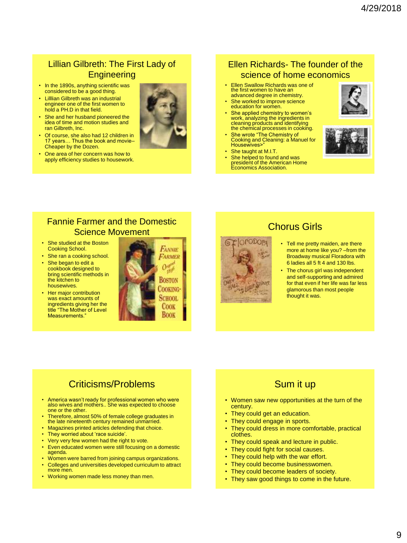### Lillian Gilbreth: The First Lady of **Engineering**

- In the 1890s, anything scientific was considered to be a good thing.
- Lilllian Gilbreth was an industrial engineer one of the first women to hold a PH.D in that field.
- She and her husband pioneered the idea of time and motion studies and ran Gilbreth, Inc.
- Of course, she also had 12 children in 17 years… Thus the book and movie– Cheaper by the Dozen.
- One area of her concern was how to apply efficiency studies to housework.

### Ellen Richards- The founder of the science of home economics

- **Ellen Swallow Richards was one of** the first women to have an advanced degree in chemistry.
- She worked to improve science education for women.
- **She applied chemistry to women's** work, analyzing the ingredients in cleaning products and identifying the chemical processes in cooking.
- She wrote "The Chemistry of Cooking and Cleaning: a Manuel for Housewives>'
- She taught at M.I.T.
- She helped to found and was president of the American Home Economics Association.





#### Fannie Farmer and the Domestic Science Movement

- She studied at the Boston Cooking School.
- She ran a cooking school. • She began to edit a cookbook designed to bring scientific methods in
- the kitchen to housewives. • Her major contribution
- was exact amounts of ingredients giving her the title "The Mother of Level Measurements."





# Chorus Girls

- Tell me pretty maiden, are there more at home like you? –from the Broadway musical Floradora with 6 ladies all 5 ft 4 and 130 lbs.
- The chorus girl was independent and self-supporting and admired for that even if her life was far less glamorous than most people thought it was.

# Criticisms/Problems

- America wasn't ready for professional women who were also wives and mothers.. She was expected to choose one or the other.
- Therefore, almost 50% of female college graduates in the late nineteenth century remained unmarried.
- Magazines printed articles defending that choice.
- They worried about 'race suicide'.
- Very very few women had the right to vote. • Even educated women were still focusing on a domestic
- agenda.
- Women were barred from joining campus organizations.
- Colleges and universities developed curriculum to attract more men.
- Working women made less money than men.

# Sum it up

- Women saw new opportunities at the turn of the century.
- They could get an education.
- They could engage in sports.
- They could dress in more comfortable, practical clothes.
- They could speak and lecture in public.
- They could fight for social causes.
- They could help with the war effort.
- They could become businesswomen.
- They could become leaders of society.
- They saw good things to come in the future.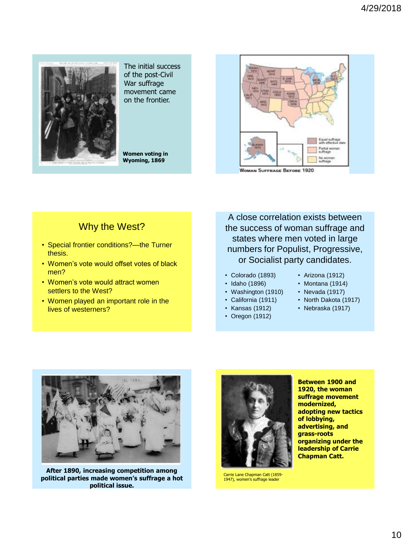

The initial success of the post-Civil War suffrage movement came on the frontier.

**Women voting in Wyoming, 1869**



**WOMAN SUFFRAGE BEFORE 1920** 

## Why the West?

- Special frontier conditions?—the Turner thesis.
- Women's vote would offset votes of black men?
- Women's vote would attract women settlers to the West?
- Women played an important role in the lives of westerners?

A close correlation exists between the success of woman suffrage and states where men voted in large numbers for Populist, Progressive, or Socialist party candidates.

- Colorado (1893)
- Idaho (1896)
- Washington (1910)
- California (1911)
- Kansas (1912)
- Oregon (1912)
- Arizona (1912)
- Montana (1914)
- Nevada (1917)
- North Dakota (1917)
- Nebraska (1917)



**After 1890, increasing competition among political parties made women's suffrage a hot political issue.**



Carrie Lane Chapman Catt (1859- 1947), women's suffrage leader

**Between 1900 and 1920, the woman suffrage movement modernized, adopting new tactics of lobbying, advertising, and grass-roots organizing under the leadership of Carrie Chapman Catt.**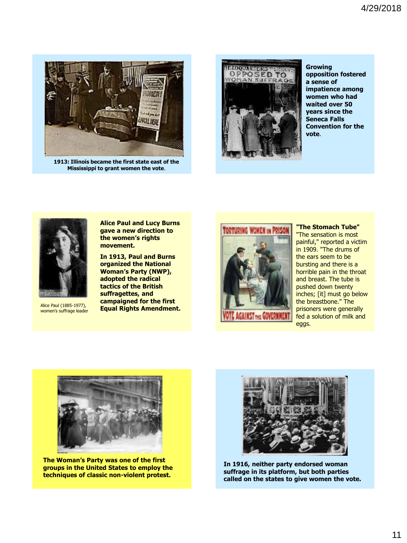

**1913: Illinois became the first state east of the Mississippi to grant women the vote**.



**Growing opposition fostered a sense of impatience among women who had waited over 50 years since the Seneca Falls Convention for the vote**.



Alice Paul (1885-1977), women's suffrage leader

**Alice Paul and Lucy Burns gave a new direction to the women's rights movement.**

**In 1913, Paul and Burns organized the National Woman's Party (NWP), adopted the radical tactics of the British suffragettes, and campaigned for the first Equal Rights Amendment.**



**"The Stomach Tube"** "The sensation is most painful," reported a victim in 1909. "The drums of the ears seem to be bursting and there is a horrible pain in the throat and breast. The tube is pushed down twenty inches; [it] must go below the breastbone." The prisoners were generally fed a solution of milk and eggs.



**The Woman's Party was one of the first groups in the United States to employ the techniques of classic non-violent protest.**



**In 1916, neither party endorsed woman suffrage in its platform, but both parties called on the states to give women the vote.**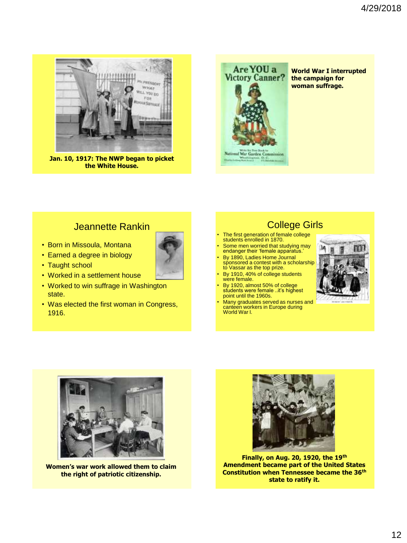

**Jan. 10, 1917: The NWP began to picket the White House.**



**World War I interrupted the campaign for woman suffrage.**

#### Jeannette Rankin

- Born in Missoula, Montana
- Earned a degree in biology
- Taught school
- Worked in a settlement house
- Worked to win suffrage in Washington state.
- Was elected the first woman in Congress, 1916.



- The first generation of female college students enrolled in 1870.
- Some men worried that studying may endanger their 'female apparatus.'
- By 1890, Ladies Home Journal sponsored a contest with a scholarship to Vassar as the top prize.
- By 1910, 40% of college students were female.
- By 1920, almost 50% of college students were female ..it's highest point until the 1960s.
- Many graduates served as nurses and canteen workers in Europe during<br>World War I.





**Women's war work allowed them to claim the right of patriotic citizenship.**



**Finally, on Aug. 20, 1920, the 19th Amendment became part of the United States Constitution when Tennessee became the 36th state to ratify it.**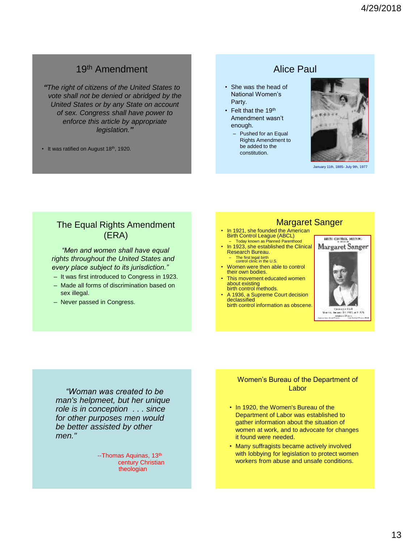# 19th Amendment

*"The right of citizens of the United States to vote shall not be denied or abridged by the United States or by any State on account of sex. Congress shall have power to enforce this article by appropriate legislation."*

• It was ratified on August 18<sup>th</sup>, 1920.

- She was the head of National Women's Party.
- Felt that the 19<sup>th</sup> Amendment wasn't enough.
	- Pushed for an Equal Rights Amendment to be added to the constitution.

#### Alice Paul

January 11th, 1885- July 9th, 1977

#### The Equal Rights Amendment (ERA)

*"Men and women shall have equal rights throughout the United States and every place subject to its jurisdiction."*

- It was first introduced to Congress in 1923.
- Made all forms of discrimination based on sex illegal.
- Never passed in Congress.

#### Margaret Sanger

- In 1921, she founded the American Birth Control League (ABCL) – Today known as Planned Parenthood
- In 1923, she established the Clinical Research Bureau. – The first legal birth control clinic in the U.S.
- Women were then able to control their own bodies.
- This movement educated women about existing birth control methods.
- A 1936, a Supreme Court decision declassified birth control information as obscene.



*"Woman was created to be man's helpmeet, but her unique role is in conception . . . since for other purposes men would be better assisted by other men."*

> --Thomas Aquinas, 13<sup>th</sup> century Christian theologian

#### Women's Bureau of the Department of Labor

- In 1920, the Women's Bureau of the Department of Labor was established to gather information about the situation of women at work, and to advocate for changes it found were needed.
- Many suffragists became actively involved with lobbying for legislation to protect women workers from abuse and unsafe conditions.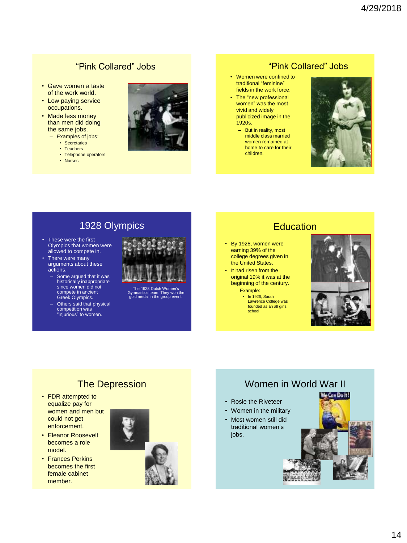#### "Pink Collared" Jobs

- Gave women a taste of the work world.
- Low paying service occupations.
- Made less money than men did doing the same jobs.
	- Examples of jobs:
		- Secretaries
		- Teachers
		- Telephone operators
		- Nurses



#### "Pink Collared" Jobs

- Women were confined to traditional "feminine" fields in the work force.
- The "new professional women" was the most vivid and widely publicized image in the 1920s.
	- But in reality, most middle class married women remained at home to care for their children.



## 1928 Olympics

- These were the first Olympics that women were allowed to compete in.
- There were many arguments about these actions.
	- Some argued that it was historically inappropriate since women did not compete in ancient Greek Olympics.
	- Others said that physical competition was "injurious" to women.



The 1928 Dutch Women's Gymnastics team. They won the gold medal in the group event.

## **Education**

- By 1928, women were earning 39% of the college degrees given in the United States.
- It had risen from the original 19% it was at the beginning of the century.
	- Example:
		- In 1926, Sarah Lawrence College was founded as an all girls school





## The Depression

- FDR attempted to equalize pay for women and men but could not get enforcement.
- Eleanor Roosevelt becomes a role model.
- Frances Perkins becomes the first female cabinet member.

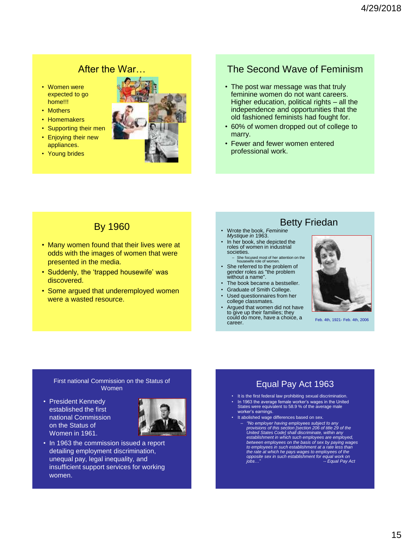## After the War…

- Women were expected to go home!!!
- Mothers
- Homemakers
- Supporting their men
- Enjoying their new appliances.
- Young brides



#### The Second Wave of Feminism

- The post war message was that truly feminine women do not want careers. Higher education, political rights – all the independence and opportunities that the old fashioned feminists had fought for.
- 60% of women dropped out of college to marry.
- Fewer and fewer women entered professional work.

#### By 1960

- Many women found that their lives were at odds with the images of women that were presented in the media.
- Suddenly, the 'trapped housewife' was discovered.
- Some argued that underemployed women were a wasted resource.

### Betty Friedan

- Wrote the book, *Feminine Mystique in* 1963.
- In her book, she depicted the roles of women in industrial societies.
- She focused most of her attention on the housewife role of women.
- She referred to the problem of gender roles as "the problem without a name".
- The book became a bestseller.
- Graduate of Smith College.
- Used questionnaires from her college classmates.
- Argued that women did not have to give up their families; they could do more, have a choice, a career.



Feb. 4th, 1921- Feb. 4th, 2006

#### First national Commission on the Status of Women

• President Kennedy established the first national Commission on the Status of Women in 1961.



• In 1963 the commission issued a report detailing employment discrimination, unequal pay, legal inequality, and insufficient support services for working women.

### Equal Pay Act 1963

- It is the first federal law prohibiting sexual discrimination. • In 1963 the average female worker's wages in the United States were equivalent to 58.9 % of the average male worker's earnings.
- It abolished wage differences based on sex.
	- "No employer having employees subject to any<br>provisions of this section [section 206 of title 29 of the<br>United States Code] shall discriminate, within any<br>establishment in which such employees are employed, *between employees on the basis of sex by paying wages to employees in such establishment at a rate less than the rate at which he pays wages to employees of the opposite sex in such establishment for equal work on jobs…" -- Equal Pay Act*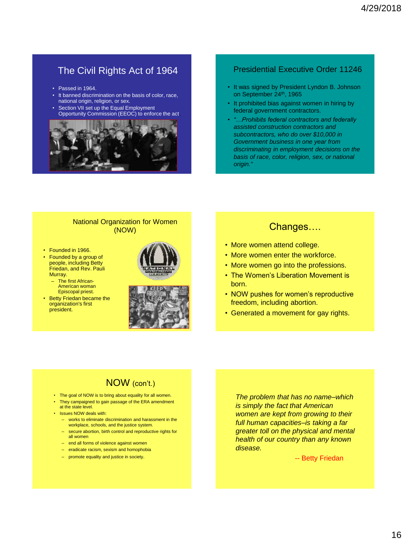## The Civil Rights Act of 1964

- Passed in 1964.
- It banned discrimination on the basis of color, race, national origin, religion, or sex.
- Section VII set up the Equal Employment Opportunity Commission (EEOC) to enforce the act.



#### Presidential Executive Order 11246

- It was signed by President Lyndon B. Johnson on September 24<sup>th</sup>, 1965
- It prohibited bias against women in hiring by federal government contractors.
- *"…Prohibits federal contractors and federally assisted construction contractors and subcontractors, who do over \$10,000 in Government business in one year from discriminating in employment decisions on the basis of race, color, religion, sex, or national origin."*

#### National Organization for Women (NOW)

- Founded in 1966.
- Founded by a group of people, including Betty Friedan, and Rev. Pauli Murray.
	- The first African-American woman Episcopal priest.
- Betty Friedan became the organization's first president.





#### Changes….

- More women attend college.
- More women enter the workforce.
- More women go into the professions.
- The Women's Liberation Movement is born.
- NOW pushes for women's reproductive freedom, including abortion.
- Generated a movement for gay rights.

### NOW (con't.)

- The goal of NOW is to bring about equality for all women.
- They campaigned to gain passage of the ERA amendment at the state level.
- Issues NOW deals with:
	- works to eliminate discrimination and harassment in the workplace, schools, and the justice system.
	- secure abortion, birth control and reproductive rights for all women
	- end all forms of violence against women
	- eradicate racism, sexism and homophobia
	- promote equality and justice in society.

*The problem that has no name–which is simply the fact that American women are kept from growing to their full human capacities–is taking a far greater toll on the physical and mental health of our country than any known disease.*

-- Betty Friedan